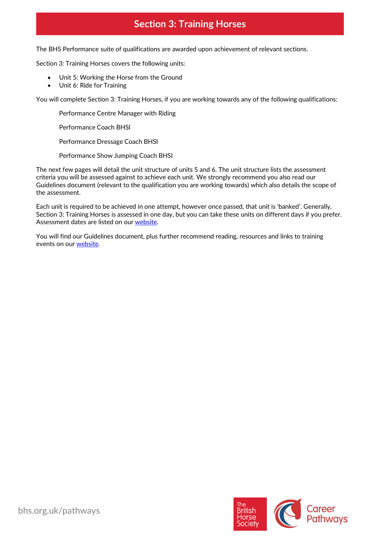# **Section 3: Training Horses**

The BHS Performance suite of qualifications are awarded upon achievement of relevant sections.

Section 3: Training Horses covers the following units:

- Unit 5: Working the Horse from the Ground
- Unit 6: Ride for Training

You will complete Section 3: Training Horses, if you are working towards any of the following qualifications:

Performance Centre Manager with Riding

Performance Coach BHSI

Performance Dressage Coach BHSI

Performance Show Jumping Coach BHSI

The next few pages will detail the unit structure of units 5 and 6. The unit structure lists the assessment criteria you will be assessed against to achieve each unit. We strongly recommend you also read our Guidelines document (relevant to the qualification you are working towards) which also details the scope of the assessment.

Each unit is required to be achieved in one attempt, however once passed, that unit is 'banked'. Generally, Section 3: Training Horses is assessed in one day, but you can take these units on different days if you prefer. Assessment dates are listed on ou[r website.](https://pathways.bhs.org.uk/assessments-training/find-an-assessment/)

You will find our Guidelines document, plus further recommend reading, resources and links to training events on ou[r website.](https://pathways.bhs.org.uk/career-pathways/)

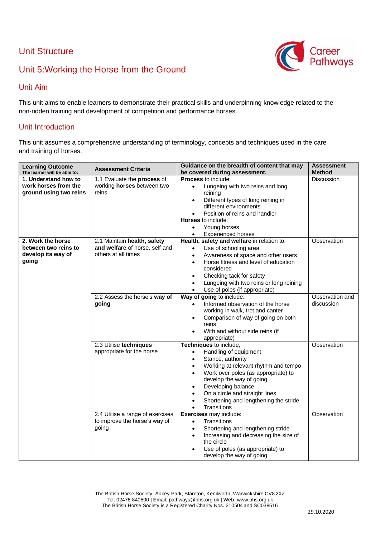## Unit Structure



# Unit 5:Working the Horse from the Ground

### Unit Aim

This unit aims to enable learners to demonstrate their practical skills and underpinning knowledge related to the non-ridden training and development of competition and performance horses.

#### Unit Introduction

This unit assumes a comprehensive understanding of terminology, concepts and techniques used in the care and training of horses.

| <b>Learning Outcome</b><br>The learner will be able to: | <b>Assessment Criteria</b>       | Guidance on the breadth of content that may<br>be covered during assessment. | <b>Assessment</b><br><b>Method</b> |
|---------------------------------------------------------|----------------------------------|------------------------------------------------------------------------------|------------------------------------|
| 1. Understand how to                                    | 1.1 Evaluate the process of      | <b>Process to include:</b>                                                   | <b>Discussion</b>                  |
| work horses from the                                    | working horses between two       | Lungeing with two reins and long<br>$\bullet$                                |                                    |
| ground using two reins                                  | reins                            | reining                                                                      |                                    |
|                                                         |                                  | Different types of long reining in<br>$\bullet$                              |                                    |
|                                                         |                                  | different environments                                                       |                                    |
|                                                         |                                  | Position of reins and handler                                                |                                    |
|                                                         |                                  | <b>Horses</b> to include:                                                    |                                    |
|                                                         |                                  | Young horses<br>$\bullet$                                                    |                                    |
|                                                         |                                  | <b>Experienced horses</b><br>$\bullet$                                       |                                    |
| 2. Work the horse                                       | 2.1 Maintain health, safety      | Health, safety and welfare in relation to:                                   | Observation                        |
| between two reins to                                    | and welfare of horse, self and   | Use of schooling area<br>$\bullet$                                           |                                    |
| develop its way of                                      | others at all times              | Awareness of space and other users<br>$\bullet$                              |                                    |
| going                                                   |                                  | Horse fitness and level of education                                         |                                    |
|                                                         |                                  | considered                                                                   |                                    |
|                                                         |                                  | Checking tack for safety<br>$\bullet$                                        |                                    |
|                                                         |                                  | Lungeing with two reins or long reining<br>$\bullet$                         |                                    |
|                                                         |                                  | Use of poles (if appropriate)                                                |                                    |
|                                                         | 2.2 Assess the horse's way of    | Way of going to include:                                                     | Observation and                    |
|                                                         | going                            | Informed observation of the horse<br>$\bullet$                               | discussion                         |
|                                                         |                                  | working in walk, trot and canter                                             |                                    |
|                                                         |                                  | Comparison of way of going on both<br>$\bullet$                              |                                    |
|                                                         |                                  | reins                                                                        |                                    |
|                                                         |                                  | With and without side reins (if<br>٠                                         |                                    |
|                                                         |                                  | appropriate)                                                                 |                                    |
|                                                         | 2.3 Utilise techniques           | Techniques to include;                                                       | Observation                        |
|                                                         | appropriate for the horse        | Handling of equipment<br>$\bullet$                                           |                                    |
|                                                         |                                  | Stance, authority<br>$\bullet$                                               |                                    |
|                                                         |                                  | Working at relevant rhythm and tempo                                         |                                    |
|                                                         |                                  | Work over poles (as appropriate) to<br>$\bullet$<br>develop the way of going |                                    |
|                                                         |                                  | Developing balance<br>$\bullet$                                              |                                    |
|                                                         |                                  | On a circle and straight lines<br>$\bullet$                                  |                                    |
|                                                         |                                  | Shortening and lengthening the stride<br>$\bullet$                           |                                    |
|                                                         |                                  | Transitions<br>$\bullet$                                                     |                                    |
|                                                         | 2.4 Utilise a range of exercises | <b>Exercises</b> may include:                                                | Observation                        |
|                                                         | to improve the horse's way of    | Transitions<br>$\bullet$                                                     |                                    |
|                                                         | going                            | Shortening and lengthening stride<br>$\bullet$                               |                                    |
|                                                         |                                  | Increasing and decreasing the size of<br>٠                                   |                                    |
|                                                         |                                  | the circle                                                                   |                                    |
|                                                         |                                  | Use of poles (as appropriate) to                                             |                                    |
|                                                         |                                  | develop the way of going                                                     |                                    |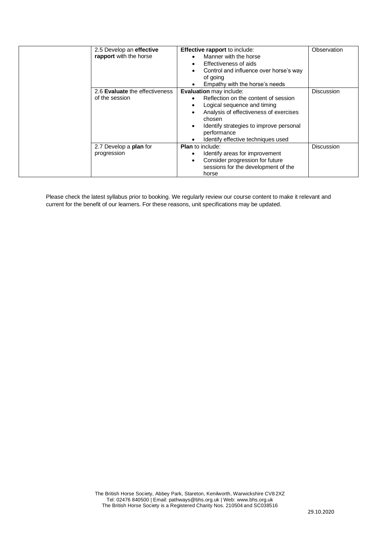| 2.5 Develop an effective<br>rapport with the horse | <b>Effective rapport to include:</b><br>Manner with the horse<br>Effectiveness of aids<br>٠<br>Control and influence over horse's way<br>of going<br>Empathy with the horse's needs                                                                                    | Observation       |
|----------------------------------------------------|------------------------------------------------------------------------------------------------------------------------------------------------------------------------------------------------------------------------------------------------------------------------|-------------------|
| 2.6 Evaluate the effectiveness<br>of the session   | <b>Evaluation</b> may include:<br>Reflection on the content of session<br>Logical sequence and timing<br>Analysis of effectiveness of exercises<br>chosen<br>Identify strategies to improve personal<br>$\bullet$<br>performance<br>Identify effective techniques used | <b>Discussion</b> |
| 2.7 Develop a <b>plan</b> for<br>progression       | <b>Plan</b> to include:<br>Identify areas for improvement<br>٠<br>Consider progression for future<br>sessions for the development of the<br>horse                                                                                                                      | <b>Discussion</b> |

Please check the latest syllabus prior to booking. We regularly review our course content to make it relevant and current for the benefit of our learners. For these reasons, unit specifications may be updated.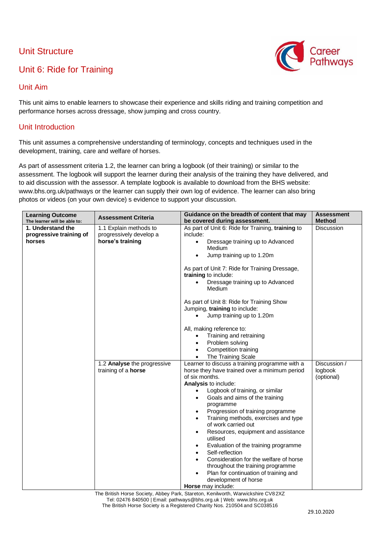## Unit Structure

# Unit 6: Ride for Training



### Unit Aim

This unit aims to enable learners to showcase their experience and skills riding and training competition and performance horses across dressage, show jumping and cross country.

#### Unit Introduction

This unit assumes a comprehensive understanding of terminology, concepts and techniques used in the development, training, care and welfare of horses.

As part of assessment criteria 1.2, the learner can bring a logbook (of their training) or similar to the assessment. The logbook will support the learner during their analysis of the training they have delivered, and to aid discussion with the assessor. A template logbook is available to download from the BHS website: www.bhs.org.uk/pathways or the learner can supply their own log of evidence. The learner can also bring photos or videos (on your own device) s evidence to support your discussion.

| <b>Learning Outcome</b><br>The learner will be able to: | <b>Assessment Criteria</b>                                            | Guidance on the breadth of content that may<br>be covered during assessment.                                                                                                                                                                                                                                                                                                                                                                                                                                                                                                                                                                                                                                                                      | <b>Assessment</b><br><b>Method</b>    |
|---------------------------------------------------------|-----------------------------------------------------------------------|---------------------------------------------------------------------------------------------------------------------------------------------------------------------------------------------------------------------------------------------------------------------------------------------------------------------------------------------------------------------------------------------------------------------------------------------------------------------------------------------------------------------------------------------------------------------------------------------------------------------------------------------------------------------------------------------------------------------------------------------------|---------------------------------------|
| 1. Understand the<br>progressive training of<br>horses  | 1.1 Explain methods to<br>progressively develop a<br>horse's training | As part of Unit 6: Ride for Training, training to<br>include:<br>Dressage training up to Advanced<br>$\bullet$<br>Medium<br>Jump training up to 1.20m<br>$\bullet$                                                                                                                                                                                                                                                                                                                                                                                                                                                                                                                                                                                | <b>Discussion</b>                     |
|                                                         |                                                                       | As part of Unit 7: Ride for Training Dressage,<br>training to include:<br>Dressage training up to Advanced<br>$\bullet$<br>Medium                                                                                                                                                                                                                                                                                                                                                                                                                                                                                                                                                                                                                 |                                       |
|                                                         |                                                                       | As part of Unit 8: Ride for Training Show<br>Jumping, training to include:<br>Jump training up to 1.20m<br>$\bullet$                                                                                                                                                                                                                                                                                                                                                                                                                                                                                                                                                                                                                              |                                       |
|                                                         |                                                                       | All, making reference to:<br>Training and retraining<br>$\bullet$<br>Problem solving<br>$\bullet$<br>Competition training<br>$\bullet$                                                                                                                                                                                                                                                                                                                                                                                                                                                                                                                                                                                                            |                                       |
|                                                         | 1.2 Analyse the progressive<br>training of a horse                    | The Training Scale<br>$\bullet$<br>Learner to discuss a training programme with a<br>horse they have trained over a minimum period<br>of six months.<br>Analysis to include:<br>Logbook of training, or similar<br>$\bullet$<br>Goals and aims of the training<br>$\bullet$<br>programme<br>Progression of training programme<br>$\bullet$<br>Training methods, exercises and type<br>$\bullet$<br>of work carried out<br>Resources, equipment and assistance<br>$\bullet$<br>utilised<br>Evaluation of the training programme<br>$\bullet$<br>Self-reflection<br>Consideration for the welfare of horse<br>throughout the training programme<br>Plan for continuation of training and<br>$\bullet$<br>development of horse<br>Horse may include: | Discussion /<br>logbook<br>(optional) |

The British Horse Society, Abbey Park, Stareton, Kenilworth, Warwickshire CV82XZ Tel: 02476 840500 | Email: pathways@bhs.org.uk | Web: [www.bhs.org.uk](http://www.bhs.org.uk/) The British Horse Society is a Registered Charity Nos. 210504 and SC038516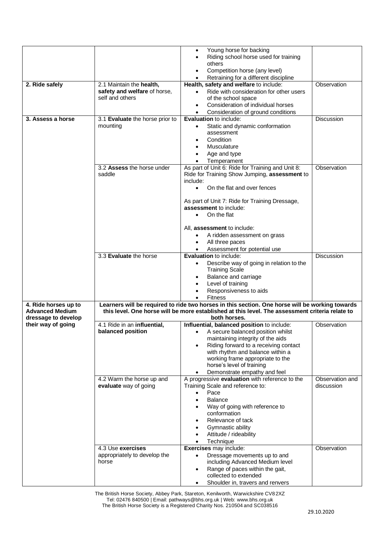|                                           |                                       | Young horse for backing<br>$\bullet$                                                               |                               |
|-------------------------------------------|---------------------------------------|----------------------------------------------------------------------------------------------------|-------------------------------|
|                                           |                                       | Riding school horse used for training                                                              |                               |
|                                           |                                       | others                                                                                             |                               |
|                                           |                                       | Competition horse (any level)<br>Retraining for a different discipline                             |                               |
| 2. Ride safely                            | 2.1 Maintain the health,              | Health, safety and welfare to include:                                                             | Observation                   |
|                                           | safety and welfare of horse,          | Ride with consideration for other users                                                            |                               |
|                                           | self and others                       | of the school space                                                                                |                               |
|                                           |                                       | Consideration of individual horses<br>$\bullet$<br>Consideration of ground conditions<br>$\bullet$ |                               |
| 3. Assess a horse                         | 3.1 Evaluate the horse prior to       | <b>Evaluation to include:</b>                                                                      | <b>Discussion</b>             |
|                                           | mounting                              | Static and dynamic conformation                                                                    |                               |
|                                           |                                       | assessment                                                                                         |                               |
|                                           |                                       | Condition<br>Musculature                                                                           |                               |
|                                           |                                       | Age and type                                                                                       |                               |
|                                           |                                       | Temperament                                                                                        |                               |
|                                           | 3.2 Assess the horse under            | As part of Unit 6: Ride for Training and Unit 8:                                                   | Observation                   |
|                                           | saddle                                | Ride for Training Show Jumping, assessment to                                                      |                               |
|                                           |                                       | include:<br>On the flat and over fences<br>$\bullet$                                               |                               |
|                                           |                                       |                                                                                                    |                               |
|                                           |                                       | As part of Unit 7: Ride for Training Dressage,                                                     |                               |
|                                           |                                       | assessment to include:<br>On the flat                                                              |                               |
|                                           |                                       | $\bullet$                                                                                          |                               |
|                                           |                                       | All, assessment to include:                                                                        |                               |
|                                           |                                       | A ridden assessment on grass<br>$\bullet$                                                          |                               |
|                                           |                                       | All three paces<br>$\bullet$                                                                       |                               |
|                                           | 3.3 Evaluate the horse                | Assessment for potential use<br><b>Evaluation to include:</b>                                      | <b>Discussion</b>             |
|                                           |                                       | Describe way of going in relation to the                                                           |                               |
|                                           |                                       | <b>Training Scale</b>                                                                              |                               |
|                                           |                                       | Balance and carriage<br>$\bullet$                                                                  |                               |
|                                           |                                       | Level of training<br>$\bullet$<br>Responsiveness to aids                                           |                               |
|                                           |                                       | <b>Fitness</b>                                                                                     |                               |
| 4. Ride horses up to                      |                                       | Learners will be required to ride two horses in this section. One horse will be working towards    |                               |
| <b>Advanced Medium</b>                    |                                       | this level. One horse will be more established at this level. The assessment criteria relate to    |                               |
| dressage to develop<br>their way of going | 4.1 Ride in an influential,           | both horses.<br>Influential, balanced position to include:                                         | Observation                   |
|                                           | balanced position                     | • A secure balanced position whilst                                                                |                               |
|                                           |                                       | maintaining integrity of the aids                                                                  |                               |
|                                           |                                       | Riding forward to a receiving contact<br>$\bullet$                                                 |                               |
|                                           |                                       | with rhythm and balance within a<br>working frame appropriate to the                               |                               |
|                                           |                                       | horse's level of training                                                                          |                               |
|                                           |                                       | Demonstrate empathy and feel<br>$\bullet$                                                          |                               |
|                                           | 4.2 Warm the horse up and             | A progressive evaluation with reference to the                                                     | Observation and<br>discussion |
|                                           | evaluate way of going                 | Training Scale and reference to:<br>Pace<br>$\bullet$                                              |                               |
|                                           |                                       | <b>Balance</b>                                                                                     |                               |
|                                           |                                       | Way of going with reference to                                                                     |                               |
|                                           |                                       | conformation                                                                                       |                               |
|                                           |                                       | Relevance of tack<br>Gymnastic ability                                                             |                               |
|                                           |                                       | Attitude / rideability                                                                             |                               |
|                                           |                                       | Technique<br>$\bullet$                                                                             |                               |
|                                           | 4.3 Use exercises                     | Exercises may include:                                                                             | Observation                   |
|                                           | appropriately to develop the<br>horse | Dressage movements up to and<br>$\bullet$<br>including Advanced Medium level                       |                               |
|                                           |                                       | Range of paces within the gait,<br>٠                                                               |                               |
|                                           |                                       | collected to extended                                                                              |                               |
|                                           |                                       | Shoulder in, travers and renvers                                                                   |                               |

The British Horse Society, Abbey Park, Stareton, Kenilworth, Warwickshire CV82XZ Tel: 02476 840500 | Email: pathways@bhs.org.uk | Web: [www.bhs.org.uk](http://www.bhs.org.uk/) The British Horse Society is a Registered Charity Nos. 210504 and SC038516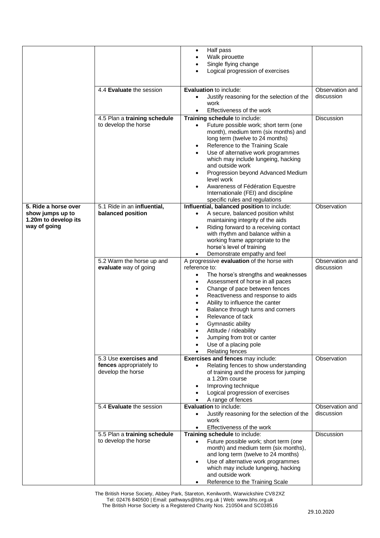|                      |                                              | Half pass<br>$\bullet$                                                                             |                               |
|----------------------|----------------------------------------------|----------------------------------------------------------------------------------------------------|-------------------------------|
|                      |                                              | Walk pirouette                                                                                     |                               |
|                      |                                              | Single flying change                                                                               |                               |
|                      |                                              | Logical progression of exercises                                                                   |                               |
|                      |                                              |                                                                                                    |                               |
|                      | 4.4 Evaluate the session                     | <b>Evaluation to include:</b>                                                                      | Observation and               |
|                      |                                              | Justify reasoning for the selection of the<br>$\bullet$<br>work                                    | discussion                    |
|                      |                                              | Effectiveness of the work<br>$\bullet$                                                             |                               |
|                      | 4.5 Plan a training schedule                 | Training schedule to include:                                                                      | Discussion                    |
|                      | to develop the horse                         | Future possible work; short term (one<br>$\bullet$                                                 |                               |
|                      |                                              | month), medium term (six months) and                                                               |                               |
|                      |                                              | long term (twelve to 24 months)                                                                    |                               |
|                      |                                              | Reference to the Training Scale<br>$\bullet$                                                       |                               |
|                      |                                              | Use of alternative work programmes<br>$\bullet$<br>which may include lungeing, hacking             |                               |
|                      |                                              | and outside work                                                                                   |                               |
|                      |                                              | Progression beyond Advanced Medium<br>$\bullet$                                                    |                               |
|                      |                                              | level work                                                                                         |                               |
|                      |                                              | Awareness of Fédération Equestre<br>$\bullet$                                                      |                               |
|                      |                                              | Internationale (FEI) and discipline<br>specific rules and regulations                              |                               |
| 5. Ride a horse over | 5.1 Ride in an influential,                  | Influential, balanced position to include:                                                         | Observation                   |
| show jumps up to     | balanced position                            | A secure, balanced position whilst<br>$\bullet$                                                    |                               |
| 1.20m to develop its |                                              | maintaining integrity of the aids                                                                  |                               |
| way of going         |                                              | Riding forward to a receiving contact<br>$\bullet$                                                 |                               |
|                      |                                              | with rhythm and balance within a<br>working frame appropriate to the                               |                               |
|                      |                                              | horse's level of training                                                                          |                               |
|                      |                                              | Demonstrate empathy and feel<br>$\bullet$                                                          |                               |
|                      | 5.2 Warm the horse up and                    | A progressive evaluation of the horse with                                                         | Observation and               |
|                      | evaluate way of going                        | reference to:                                                                                      | discussion                    |
|                      |                                              | The horse's strengths and weaknesses<br>$\bullet$<br>Assessment of horse in all paces<br>$\bullet$ |                               |
|                      |                                              | Change of pace between fences<br>$\bullet$                                                         |                               |
|                      |                                              | Reactiveness and response to aids<br>$\bullet$                                                     |                               |
|                      |                                              | Ability to influence the canter<br>٠                                                               |                               |
|                      |                                              | Balance through turns and corners                                                                  |                               |
|                      |                                              | Relevance of tack                                                                                  |                               |
|                      |                                              | Gymnastic ability<br>Attitude / rideability                                                        |                               |
|                      |                                              | Jumping from trot or canter<br>$\bullet$                                                           |                               |
|                      |                                              | Use of a placing pole                                                                              |                               |
|                      |                                              | <b>Relating fences</b>                                                                             |                               |
|                      | 5.3 Use exercises and                        | Exercises and fences may include:                                                                  | Observation                   |
|                      | fences appropriately to<br>develop the horse | Relating fences to show understanding<br>$\bullet$<br>of training and the process for jumping      |                               |
|                      |                                              | a 1.20m course                                                                                     |                               |
|                      |                                              | Improving technique                                                                                |                               |
|                      |                                              | Logical progression of exercises                                                                   |                               |
|                      |                                              | A range of fences                                                                                  |                               |
|                      | 5.4 Evaluate the session                     | <b>Evaluation to include:</b><br>Justify reasoning for the selection of the                        | Observation and<br>discussion |
|                      |                                              | ٠<br>work                                                                                          |                               |
|                      |                                              | Effectiveness of the work<br>$\bullet$                                                             |                               |
|                      | 5.5 Plan a training schedule                 | Training schedule to include:                                                                      | Discussion                    |
|                      | to develop the horse                         | Future possible work; short term (one<br>$\bullet$                                                 |                               |
|                      |                                              | month) and medium term (six months),<br>and long term (twelve to 24 months)                        |                               |
|                      |                                              | Use of alternative work programmes<br>$\bullet$                                                    |                               |
|                      |                                              | which may include lungeing, hacking                                                                |                               |
|                      |                                              | and outside work                                                                                   |                               |
|                      |                                              | Reference to the Training Scale                                                                    |                               |

The British Horse Society, Abbey Park, Stareton, Kenilworth, Warwickshire CV82XZ Tel: 02476 840500 | Email: pathways@bhs.org.uk | Web: [www.bhs.org.uk](http://www.bhs.org.uk/) The British Horse Society is a Registered Charity Nos. 210504 and SC038516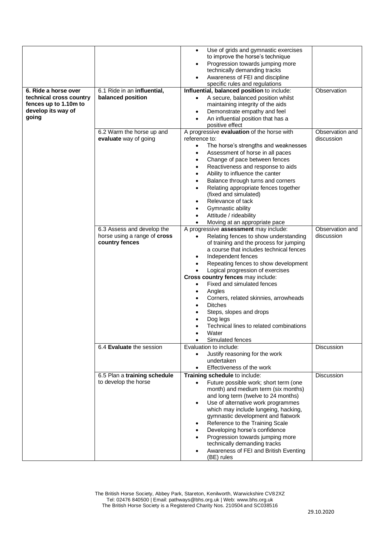|                                                                                                         |                                                                                  | Use of grids and gymnastic exercises<br>$\bullet$<br>to improve the horse's technique<br>Progression towards jumping more<br>٠<br>technically demanding tracks<br>Awareness of FEI and discipline<br>$\bullet$<br>specific rules and regulations                                                                                                                                                                                                                                                                                 |                                                  |
|---------------------------------------------------------------------------------------------------------|----------------------------------------------------------------------------------|----------------------------------------------------------------------------------------------------------------------------------------------------------------------------------------------------------------------------------------------------------------------------------------------------------------------------------------------------------------------------------------------------------------------------------------------------------------------------------------------------------------------------------|--------------------------------------------------|
| 6. Ride a horse over<br>technical cross country<br>fences up to 1.10m to<br>develop its way of<br>going | 6.1 Ride in an influential,<br>balanced position                                 | Influential, balanced position to include:<br>A secure, balanced position whilst<br>$\bullet$<br>maintaining integrity of the aids<br>Demonstrate empathy and feel<br>٠<br>An influential position that has a<br>$\bullet$<br>positive effect                                                                                                                                                                                                                                                                                    | Observation                                      |
|                                                                                                         | 6.2 Warm the horse up and<br>evaluate way of going<br>6.3 Assess and develop the | A progressive evaluation of the horse with<br>reference to:<br>The horse's strengths and weaknesses<br>$\bullet$<br>Assessment of horse in all paces<br>٠<br>Change of pace between fences<br>Reactiveness and response to aids<br>Ability to influence the canter<br>٠<br>Balance through turns and corners<br>Relating appropriate fences together<br>(fixed and simulated)<br>Relevance of tack<br>Gymnastic ability<br>Attitude / rideability<br>Moving at an appropriate pace<br>A progressive assessment may include:      | Observation and<br>discussion<br>Observation and |
|                                                                                                         | horse using a range of cross<br>country fences                                   | Relating fences to show understanding<br>$\bullet$<br>of training and the process for jumping<br>a course that includes technical fences<br>Independent fences<br>$\bullet$<br>Repeating fences to show development<br>Logical progression of exercises<br>Cross country fences may include:<br>Fixed and simulated fences<br>$\bullet$<br>Angles<br>٠<br>Corners, related skinnies, arrowheads<br><b>Ditches</b><br>Steps, slopes and drops<br>Dog legs<br>Technical lines to related combinations<br>Water<br>Simulated fences | discussion                                       |
|                                                                                                         | 6.4 Evaluate the session                                                         | Evaluation to include:<br>Justify reasoning for the work<br>$\bullet$<br>undertaken<br>Effectiveness of the work<br>$\bullet$                                                                                                                                                                                                                                                                                                                                                                                                    | Discussion                                       |
|                                                                                                         | 6.5 Plan a training schedule<br>to develop the horse                             | Training schedule to include:<br>Future possible work; short term (one<br>$\bullet$<br>month) and medium term (six months)<br>and long term (twelve to 24 months)<br>Use of alternative work programmes<br>$\bullet$<br>which may include lungeing, hacking,<br>gymnastic development and flatwork<br>Reference to the Training Scale<br>Developing horse's confidence<br>٠<br>Progression towards jumping more<br>$\bullet$<br>technically demanding tracks<br>Awareness of FEI and British Eventing<br>(BE) rules              | <b>Discussion</b>                                |